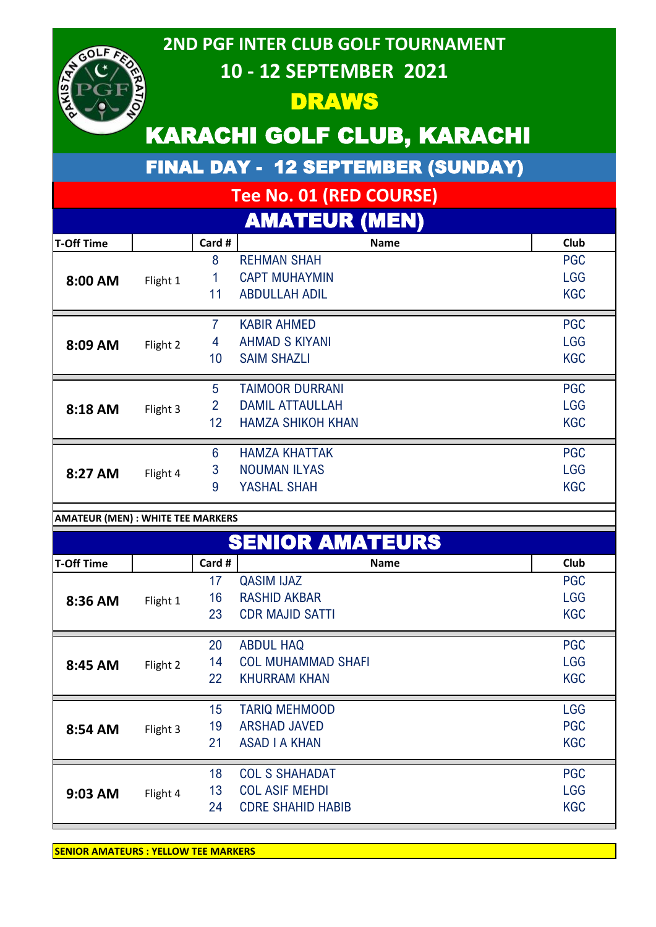

### **2ND PGF INTER CLUB GOLF TOURNAMENT 10 - 12 SEPTEMBER 2021**

### DRAWS

# KARACHI GOLF CLUB, KARACHI

FINAL DAY - 12 SEPTEMBER (SUNDAY)

# **Tee No. 01 (RED COURSE)**

|                   |          |                 | <b>AMATEUR (MEN)</b>     |             |
|-------------------|----------|-----------------|--------------------------|-------------|
| <b>T-Off Time</b> |          | Card #          | <b>Name</b>              | <b>Club</b> |
| 8:00 AM           |          | 8               | <b>REHMAN SHAH</b>       | <b>PGC</b>  |
|                   | Flight 1 |                 | <b>CAPT MUHAYMIN</b>     | <b>LGG</b>  |
|                   |          | 11              | <b>ABDULLAH ADIL</b>     | <b>KGC</b>  |
| 8:09 AM           | Flight 2 | 7               | <b>KABIR AHMED</b>       | <b>PGC</b>  |
|                   |          | 4               | <b>AHMAD S KIYANI</b>    | <b>LGG</b>  |
|                   |          | 10              | <b>SAIM SHAZLI</b>       | <b>KGC</b>  |
|                   |          | 5               | <b>TAIMOOR DURRANI</b>   | <b>PGC</b>  |
| 8:18 AM           | Flight 3 | $\overline{2}$  | <b>DAMIL ATTAULLAH</b>   | <b>LGG</b>  |
|                   |          | 12              | <b>HAMZA SHIKOH KHAN</b> | <b>KGC</b>  |
|                   |          | $6\phantom{1}6$ | <b>HAMZA KHATTAK</b>     | <b>PGC</b>  |
| 8:27 AM           | Flight 4 | 3               | <b>NOUMAN ILYAS</b>      | <b>LGG</b>  |
|                   |          | 9               | YASHAL SHAH              | <b>KGC</b>  |

#### **AMATEUR (MEN) : WHITE TEE MARKERS**

| <b>SENIOR AMATEURS</b> |          |        |                           |             |
|------------------------|----------|--------|---------------------------|-------------|
| <b>T-Off Time</b>      |          | Card # | <b>Name</b>               | <b>Club</b> |
| 8:36 AM                | Flight 1 | 17     | <b>QASIM IJAZ</b>         | <b>PGC</b>  |
|                        |          | 16     | <b>RASHID AKBAR</b>       | <b>LGG</b>  |
|                        |          | 23     | <b>CDR MAJID SATTI</b>    | <b>KGC</b>  |
| 8:45 AM                | Flight 2 | 20     | <b>ABDUL HAQ</b>          | <b>PGC</b>  |
|                        |          | 14     | <b>COL MUHAMMAD SHAFI</b> | <b>LGG</b>  |
|                        |          | 22     | <b>KHURRAM KHAN</b>       | <b>KGC</b>  |
|                        |          | 15     | <b>TARIQ MEHMOOD</b>      | <b>LGG</b>  |
| 8:54 AM                | Flight 3 | 19     | <b>ARSHAD JAVED</b>       | <b>PGC</b>  |
|                        |          | 21     | <b>ASAD I A KHAN</b>      | <b>KGC</b>  |
|                        | Flight 4 | 18     | <b>COL S SHAHADAT</b>     | <b>PGC</b>  |
| 9:03 AM                |          | 13     | <b>COL ASIF MEHDI</b>     | <b>LGG</b>  |
|                        |          | 24     | <b>CDRE SHAHID HABIB</b>  | <b>KGC</b>  |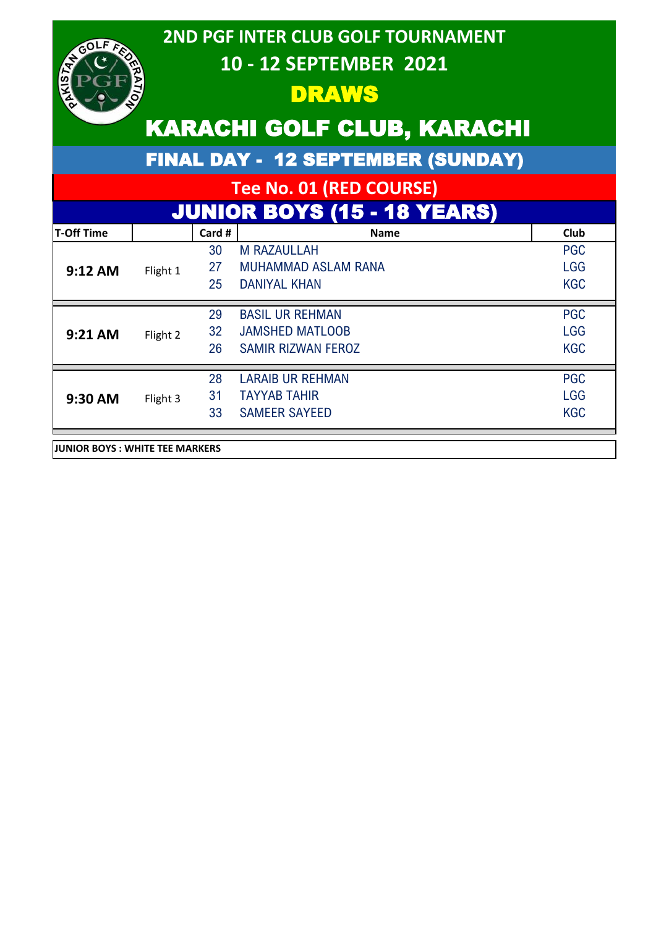| GOLF,<br>$\mathbf{z}_{k}$       |          |        | <b>2ND PGF INTER CLUB GOLF TOURNAMENT</b><br>10 - 12 SEPTEMBER 2021 |            |
|---------------------------------|----------|--------|---------------------------------------------------------------------|------------|
|                                 |          |        | DRAWS                                                               |            |
|                                 |          |        | <b>KARACHI GOLF CLUB, KARACHI</b>                                   |            |
|                                 |          |        | <b>FINAL DAY - 12 SEPTEMBER (SUNDAY)</b>                            |            |
|                                 |          |        | Tee No. 01 (RED COURSE)                                             |            |
|                                 |          |        | <b>JUNIOR BOYS (15 - 18 YEARS)</b>                                  |            |
| <b>T-Off Time</b>               |          | Card # | <b>Name</b>                                                         | Club       |
|                                 | Flight 1 | 30     | <b>M RAZAULLAH</b>                                                  | <b>PGC</b> |
| 9:12 AM                         |          | 27     | <b>MUHAMMAD ASLAM RANA</b>                                          | <b>LGG</b> |
|                                 |          | 25     | <b>DANIYAL KHAN</b>                                                 | <b>KGC</b> |
|                                 |          | 29     | <b>BASIL UR REHMAN</b>                                              | <b>PGC</b> |
| 9:21 AM                         | Flight 2 | 32     | <b>JAMSHED MATLOOB</b>                                              | <b>LGG</b> |
|                                 |          | 26     | <b>SAMIR RIZWAN FEROZ</b>                                           | <b>KGC</b> |
|                                 |          | 28     | <b>LARAIB UR REHMAN</b>                                             | <b>PGC</b> |
| 9:30 AM                         | Flight 3 | 31     | <b>TAYYAB TAHIR</b>                                                 | <b>LGG</b> |
|                                 |          | 33     | <b>SAMEER SAYEED</b>                                                | <b>KGC</b> |
| JUNIOR BOYS : WHITE TEE MARKERS |          |        |                                                                     |            |